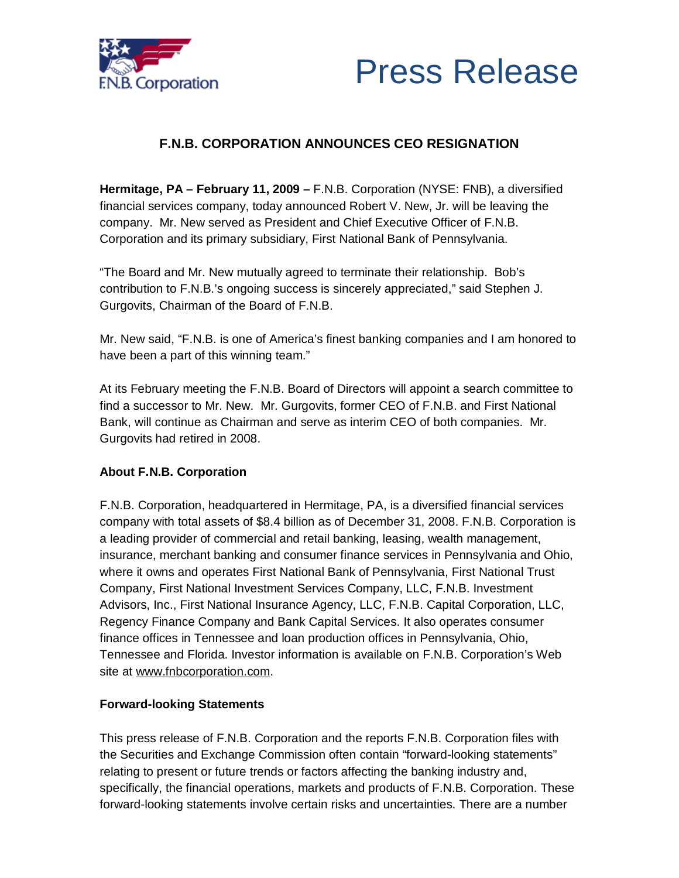



## **F.N.B. CORPORATION ANNOUNCES CEO RESIGNATION**

**Hermitage, PA – February 11, 2009 –** F.N.B. Corporation (NYSE: FNB), a diversified financial services company, today announced Robert V. New, Jr. will be leaving the company. Mr. New served as President and Chief Executive Officer of F.N.B. Corporation and its primary subsidiary, First National Bank of Pennsylvania.

"The Board and Mr. New mutually agreed to terminate their relationship. Bob's contribution to F.N.B.'s ongoing success is sincerely appreciated," said Stephen J. Gurgovits, Chairman of the Board of F.N.B.

Mr. New said, "F.N.B. is one of America's finest banking companies and I am honored to have been a part of this winning team."

At its February meeting the F.N.B. Board of Directors will appoint a search committee to find a successor to Mr. New. Mr. Gurgovits, former CEO of F.N.B. and First National Bank, will continue as Chairman and serve as interim CEO of both companies. Mr. Gurgovits had retired in 2008.

## **About F.N.B. Corporation**

F.N.B. Corporation, headquartered in Hermitage, PA, is a diversified financial services company with total assets of \$8.4 billion as of December 31, 2008. F.N.B. Corporation is a leading provider of commercial and retail banking, leasing, wealth management, insurance, merchant banking and consumer finance services in Pennsylvania and Ohio, where it owns and operates First National Bank of Pennsylvania, First National Trust Company, First National Investment Services Company, LLC, F.N.B. Investment Advisors, Inc., First National Insurance Agency, LLC, F.N.B. Capital Corporation, LLC, Regency Finance Company and Bank Capital Services. It also operates consumer finance offices in Tennessee and loan production offices in Pennsylvania, Ohio, Tennessee and Florida. Investor information is available on F.N.B. Corporation's Web site at [www.fnbcorporation.com.](http://www.fnbcorporation.com)

## **Forward-looking Statements**

This press release of F.N.B. Corporation and the reports F.N.B. Corporation files with the Securities and Exchange Commission often contain "forward-looking statements" relating to present or future trends or factors affecting the banking industry and, specifically, the financial operations, markets and products of F.N.B. Corporation. These forward-looking statements involve certain risks and uncertainties. There are a number